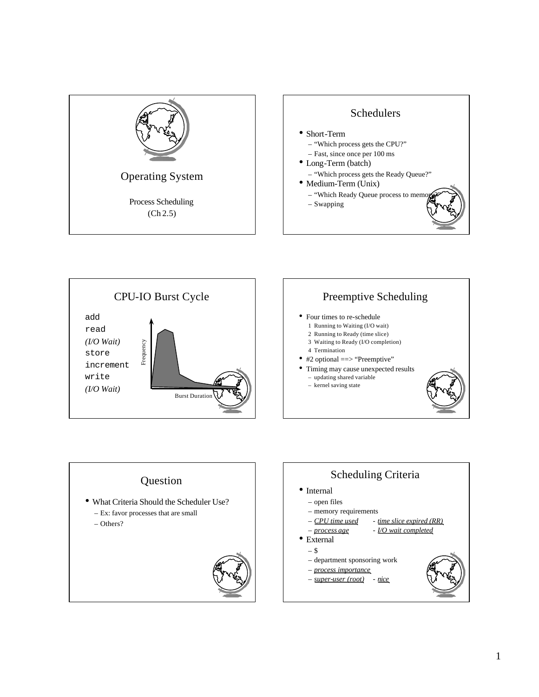





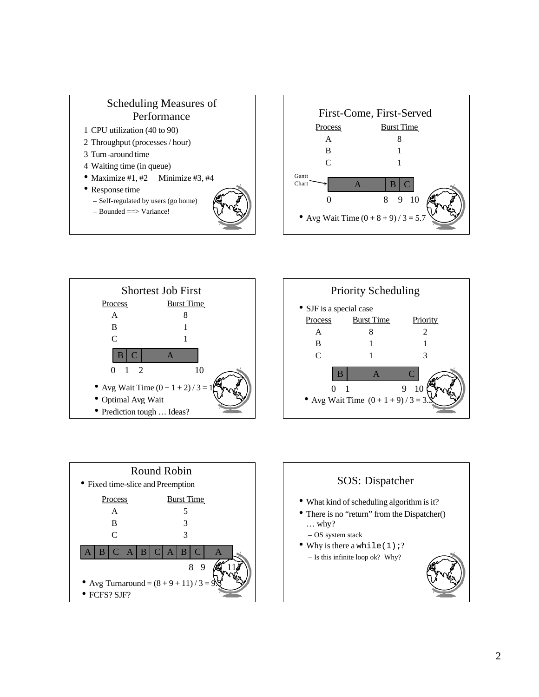









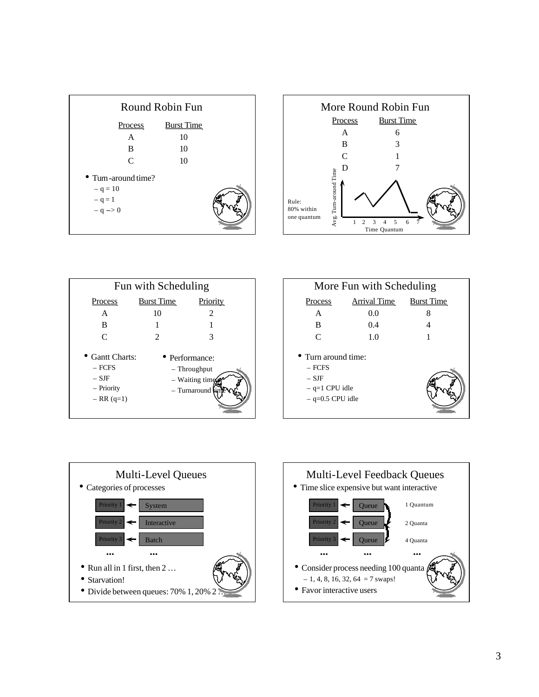





| More Fun with Scheduling                                                             |                     |                   |
|--------------------------------------------------------------------------------------|---------------------|-------------------|
| <b>Process</b>                                                                       | <b>Arrival Time</b> | <b>Burst Time</b> |
| A                                                                                    | 0.0                 | 8                 |
| B                                                                                    | 0.4                 |                   |
| $\mathsf{C}$                                                                         | 1.0                 | 1                 |
| • Turn around time:<br>$-$ FCFS<br>$-$ SJF<br>$-$ q=1 CPU idle<br>$-$ q=0.5 CPU idle |                     |                   |



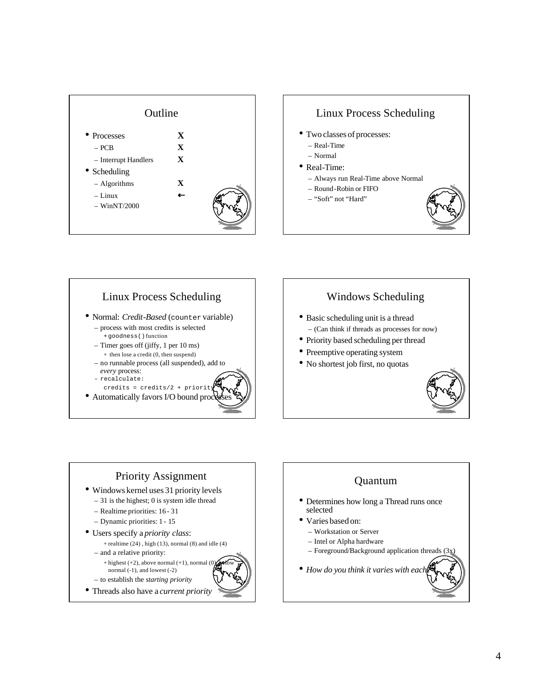





## Windows Scheduling

- Basic scheduling unit is a thread – (Can think if threads as processes for now)
- Priority based scheduling per thread
- Preemptive operating system
- No shortest job first, no quotas



### Priority Assignment • Windows kernel uses 31 priority levels – 31 is the highest; 0 is system idle thread – Realtime priorities: 16 - 31 – Dynamic priorities: 1 - 15 • Users specify a *priority class*:  $+$  realtime (24), high (13), normal (8) and idle (4) – and a relative priority:

- $+$  highest (+2), above normal (+1), normal (0) normal (-1), and lowest (-2)
- to establish the *starting priority*
- Threads also have a *current priority*

# Quantum • Determines how long a Thread runs once

• Varies based on:

selected

- Workstation or Server
- Intel or Alpha hardware
- Foreground/Background application threads (3x)
- *How do you think it varies with each?*